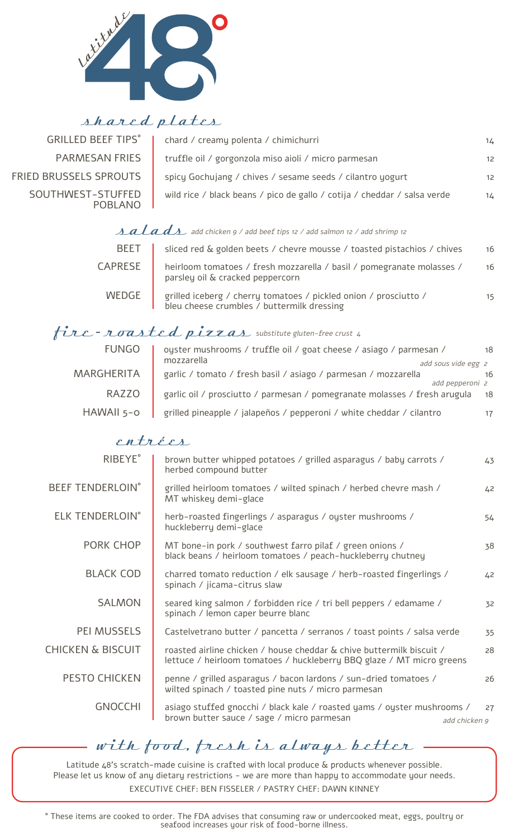

#### shared plates

| <b>GRILLED BEEF TIPS°</b>    | chard / creamy polenta / chimichurri                                     | $14 -$          |
|------------------------------|--------------------------------------------------------------------------|-----------------|
| <b>PARMESAN FRIES</b>        | truffle oil / gorgonzola miso aioli / micro parmesan                     | $12-12$         |
| FRIED BRUSSELS SPROUTS       | spicy Gochujang / chives / sesame seeds / cilantro yogurt                | 12 <sup>2</sup> |
| SOUTHWEST-STUFFED<br>POBLANO | wild rice / black beans / pico de gallo / cotija / cheddar / salsa verde | $14 -$          |

### $\mathbf{z}$  alad $\mathbf{z}$  add chicken 9 / add beef tips 12 / add salmon 12 / add shrimp 12

| <b>BEET</b>    | sliced red & golden beets / chevre mousse / toasted pistachios / chives                                        | 16 |
|----------------|----------------------------------------------------------------------------------------------------------------|----|
| <b>CAPRESE</b> | heirloom tomatoes / fresh mozzarella / basil / pomegranate molasses /<br>parsley oil & cracked peppercorn      | 16 |
| WEDGE          | grilled iceberg / cherry tomatoes / pickled onion / prosciutto /<br>bleu cheese crumbles / buttermilk dressing | 15 |

## $frac$  - roasted pizzas substitute gluten-free crust 4

| <b>FUNGO</b> | oyster mushrooms / truffle oil / goat cheese / asiago / parmesan /           |    |
|--------------|------------------------------------------------------------------------------|----|
|              | mozzarella<br>add sous vide egg 2                                            |    |
| MARGHERITA   | garlic / tomato / fresh basil / asiago / parmesan / mozzarella               | 16 |
|              | add pepperoni 2                                                              |    |
| <b>RAZZO</b> | garlic oil / prosciutto / parmesan / pomegranate molasses / fresh arugula 18 |    |
| HAWAII 5-0   | grilled pineapple / jalapeños / pepperoni / white cheddar / cilantro         | 17 |

#### entrées

| <b>RIBEYE</b> °              | brown butter whipped potatoes / grilled asparagus / baby carrots /<br>herbed compound butter                                                  | 43 |
|------------------------------|-----------------------------------------------------------------------------------------------------------------------------------------------|----|
| <b>BEEF TENDERLOIN°</b>      | grilled heirloom tomatoes / wilted spinach / herbed chevre mash /<br>MT whiskey demi-glace                                                    | 42 |
| <b>ELK TENDERLOIN°</b>       | herb-roasted fingerlings / asparagus / oyster mushrooms /<br>huckleberry demi-glace                                                           | 54 |
| PORK CHOP                    | MT bone-in pork / southwest farro pilaf / green onions /<br>black beans / heirloom tomatoes / peach-huckleberry chutney                       | 38 |
| <b>BLACK COD</b>             | charred tomato reduction / elk sausage / herb-roasted fingerlings /<br>spinach / jicama-citrus slaw                                           | 42 |
| <b>SALMON</b>                | seared king salmon / forbidden rice / tri bell peppers / edamame /<br>spinach / lemon caper beurre blanc                                      | 32 |
| <b>PEI MUSSELS</b>           | Castelvetrano butter / pancetta / serranos / toast points / salsa verde                                                                       | 35 |
| <b>CHICKEN &amp; BISCUIT</b> | roasted airline chicken / house cheddar & chive buttermilk biscuit /<br>lettuce / heirloom tomatoes / huckleberry BBQ glaze / MT micro greens | 28 |
| <b>PESTO CHICKEN</b>         | penne / grilled asparagus / bacon lardons / sun-dried tomatoes /<br>wilted spinach / toasted pine nuts / micro parmesan                       | 26 |
| <b>GNOCCHI</b>               | asiago stuffed gnocchi / black kale / roasted yams / oyster mushrooms /<br>brown butter sauce / sage / micro parmesan<br>add chicken 9        | 27 |
|                              |                                                                                                                                               |    |

# with food, fresh is always better

Latitude 48's scratch-made cuisine is crafted with local produce & products whenever possible. Please let us know of any dietary restrictions - we are more than happy to accommodate your needs. EXECUTIVE CHEF: BEN FISSELER / PASTRY CHEF: DAWN KINNEY

° These items are cooked to order. The FDA advises that consuming raw or undercooked meat, eggs, poultry or seafood increases your risk of food-borne illness.